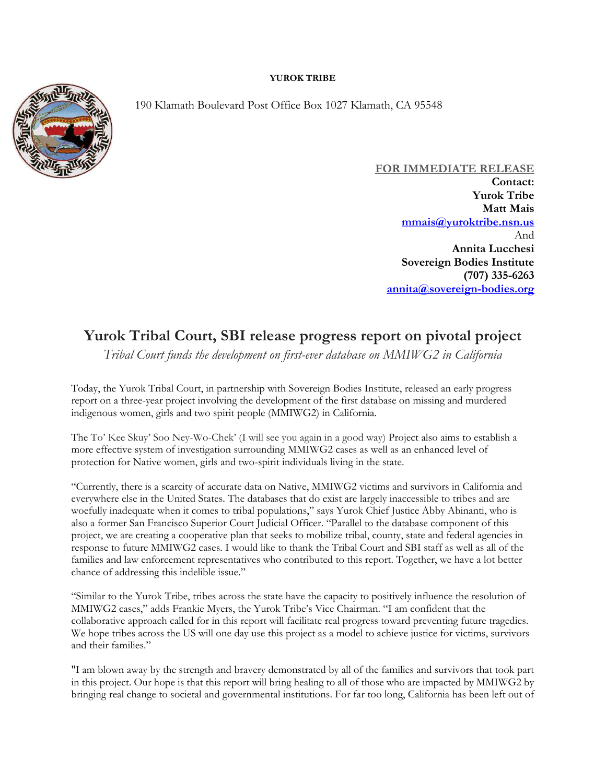## **YUROK TRIBE**



190 Klamath Boulevard Post Office Box 1027 Klamath, CA 95548

**FOR IMMEDIATE RELEASE Contact: Yurok Tribe Matt Mais [mmais@yuroktribe.nsn.us](mailto:mmais@yuroktribe.nsn.us)** And **Annita Lucchesi Sovereign Bodies Institute (707) 335-6263 [annita@sovereign-bodies.org](mailto:annita@sovereign-bodies.org)**

## **Yurok Tribal Court, SBI release progress report on pivotal project**

*Tribal Court funds the development on first-ever database on MMIWG2 in California*

Today, the Yurok Tribal Court, in partnership with Sovereign Bodies Institute, released an early progress report on a three-year project involving the development of the first database on missing and murdered indigenous women, girls and two spirit people (MMIWG2) in California.

The To' Kee Skuy' Soo Ney-Wo-Chek' (I will see you again in a good way) Project also aims to establish a more effective system of investigation surrounding MMIWG2 cases as well as an enhanced level of protection for Native women, girls and two-spirit individuals living in the state.

"Currently, there is a scarcity of accurate data on Native, MMIWG2 victims and survivors in California and everywhere else in the United States. The databases that do exist are largely inaccessible to tribes and are woefully inadequate when it comes to tribal populations," says Yurok Chief Justice Abby Abinanti, who is also a former San Francisco Superior Court Judicial Officer. "Parallel to the database component of this project, we are creating a cooperative plan that seeks to mobilize tribal, county, state and federal agencies in response to future MMIWG2 cases. I would like to thank the Tribal Court and SBI staff as well as all of the families and law enforcement representatives who contributed to this report. Together, we have a lot better chance of addressing this indelible issue."

"Similar to the Yurok Tribe, tribes across the state have the capacity to positively influence the resolution of MMIWG2 cases," adds Frankie Myers, the Yurok Tribe's Vice Chairman. "I am confident that the collaborative approach called for in this report will facilitate real progress toward preventing future tragedies. We hope tribes across the US will one day use this project as a model to achieve justice for victims, survivors and their families."

"I am blown away by the strength and bravery demonstrated by all of the families and survivors that took part in this project. Our hope is that this report will bring healing to all of those who are impacted by MMIWG2 by bringing real change to societal and governmental institutions. For far too long, California has been left out of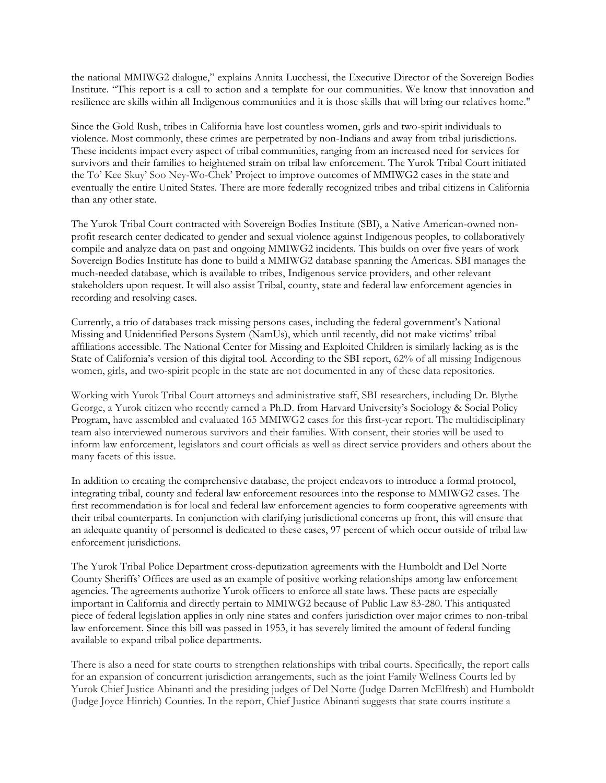the national MMIWG2 dialogue," explains Annita Lucchessi, the Executive Director of the Sovereign Bodies Institute. "This report is a call to action and a template for our communities. We know that innovation and resilience are skills within all Indigenous communities and it is those skills that will bring our relatives home."

Since the Gold Rush, tribes in California have lost countless women, girls and two-spirit individuals to violence. Most commonly, these crimes are perpetrated by non-Indians and away from tribal jurisdictions. These incidents impact every aspect of tribal communities, ranging from an increased need for services for survivors and their families to heightened strain on tribal law enforcement. The Yurok Tribal Court initiated the To' Kee Skuy' Soo Ney-Wo-Chek' Project to improve outcomes of MMIWG2 cases in the state and eventually the entire United States. There are more federally recognized tribes and tribal citizens in California than any other state.

The Yurok Tribal Court contracted with Sovereign Bodies Institute (SBI), a Native American-owned nonprofit research center dedicated to gender and sexual violence against Indigenous peoples, to collaboratively compile and analyze data on past and ongoing MMIWG2 incidents. This builds on over five years of work Sovereign Bodies Institute has done to build a MMIWG2 database spanning the Americas. SBI manages the much-needed database, which is available to tribes, Indigenous service providers, and other relevant stakeholders upon request. It will also assist Tribal, county, state and federal law enforcement agencies in recording and resolving cases.

Currently, a trio of databases track missing persons cases, including the federal government's National Missing and Unidentified Persons System (NamUs), which until recently, did not make victims' tribal affiliations accessible. The National Center for Missing and Exploited Children is similarly lacking as is the State of California's version of this digital tool. According to the SBI report, 62% of all missing Indigenous women, girls, and two-spirit people in the state are not documented in any of these data repositories.

Working with Yurok Tribal Court attorneys and administrative staff, SBI researchers, including Dr. Blythe George, a Yurok citizen who recently earned a Ph.D. from Harvard University's Sociology & Social Policy Program, have assembled and evaluated 165 MMIWG2 cases for this first-year report. The multidisciplinary team also interviewed numerous survivors and their families. With consent, their stories will be used to inform law enforcement, legislators and court officials as well as direct service providers and others about the many facets of this issue.

In addition to creating the comprehensive database, the project endeavors to introduce a formal protocol, integrating tribal, county and federal law enforcement resources into the response to MMIWG2 cases. The first recommendation is for local and federal law enforcement agencies to form cooperative agreements with their tribal counterparts. In conjunction with clarifying jurisdictional concerns up front, this will ensure that an adequate quantity of personnel is dedicated to these cases, 97 percent of which occur outside of tribal law enforcement jurisdictions.

The Yurok Tribal Police Department cross-deputization agreements with the Humboldt and Del Norte County Sheriffs' Offices are used as an example of positive working relationships among law enforcement agencies. The agreements authorize Yurok officers to enforce all state laws. These pacts are especially important in California and directly pertain to MMIWG2 because of Public Law 83-280. This antiquated piece of federal legislation applies in only nine states and confers jurisdiction over major crimes to non-tribal law enforcement. Since this bill was passed in 1953, it has severely limited the amount of federal funding available to expand tribal police departments.

There is also a need for state courts to strengthen relationships with tribal courts. Specifically, the report calls for an expansion of concurrent jurisdiction arrangements, such as the joint Family Wellness Courts led by Yurok Chief Justice Abinanti and the presiding judges of Del Norte (Judge Darren McElfresh) and Humboldt (Judge Joyce Hinrich) Counties. In the report, Chief Justice Abinanti suggests that state courts institute a